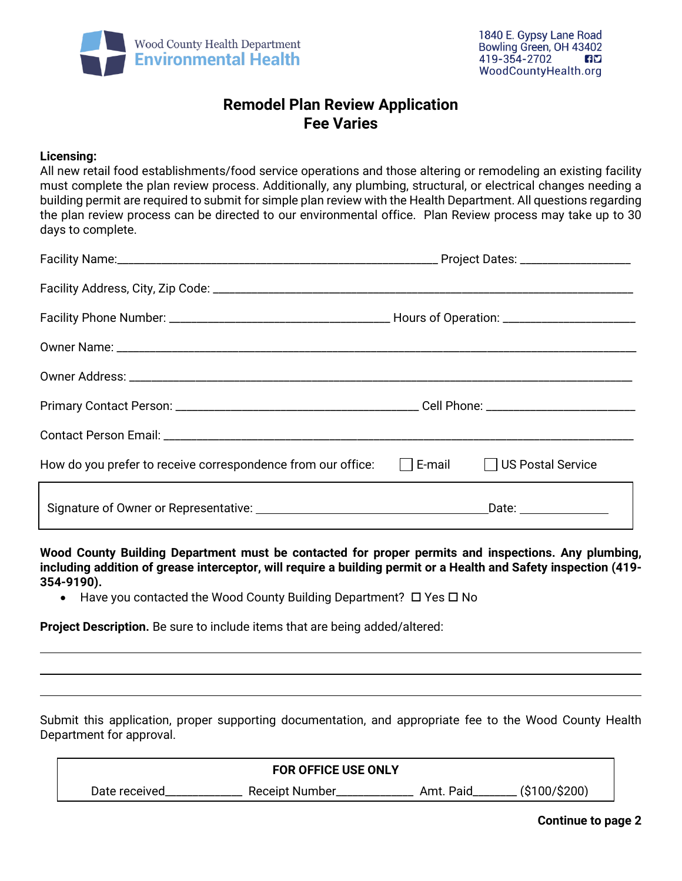

# **Remodel Plan Review Application Fee Varies**

#### **Licensing:**

All new retail food establishments/food service operations and those altering or remodeling an existing facility must complete the plan review process. Additionally, any plumbing, structural, or electrical changes needing a building permit are required to submit for simple plan review with the Health Department. All questions regarding the plan review process can be directed to our environmental office. Plan Review process may take up to 30 days to complete.

| How do you prefer to receive correspondence from our office: $\Box$ E-mail $\Box$ US Postal Service |                       |  |  |
|-----------------------------------------------------------------------------------------------------|-----------------------|--|--|
|                                                                                                     | Date: _______________ |  |  |

**Wood County Building Department must be contacted for proper permits and inspections. Any plumbing, including addition of grease interceptor, will require a building permit or a Health and Safety inspection (419- 354-9190).** 

• Have you contacted the Wood County Building Department?  $\Box$  Yes  $\Box$  No

**Project Description.** Be sure to include items that are being added/altered:

Submit this application, proper supporting documentation, and appropriate fee to the Wood County Health Department for approval.